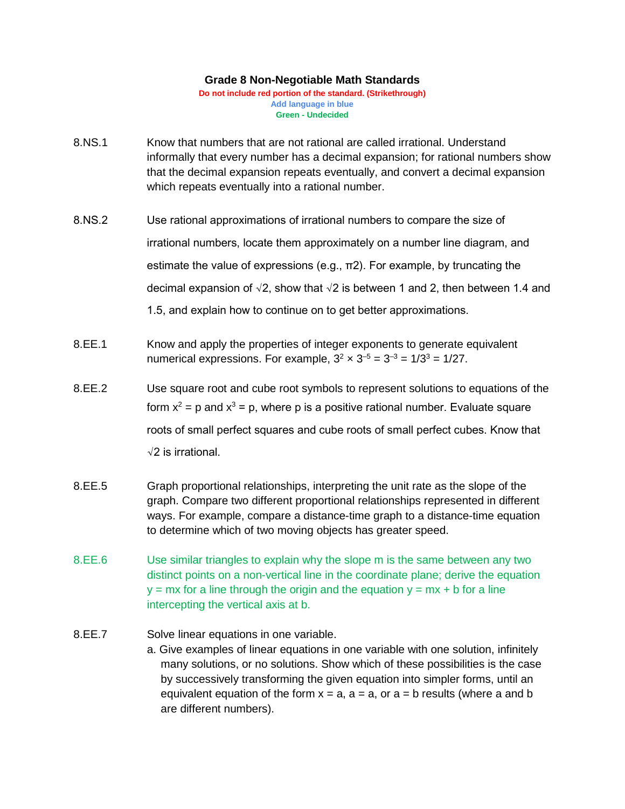## **Grade 8 Non-Negotiable Math Standards**

**Do not include red portion of the standard. (Strikethrough) Add language in blue Green - Undecided**

- 8.NS.1 Know that numbers that are not rational are called irrational. Understand informally that every number has a decimal expansion; for rational numbers show that the decimal expansion repeats eventually, and convert a decimal expansion which repeats eventually into a rational number.
- 8.NS.2 Use rational approximations of irrational numbers to compare the size of irrational numbers, locate them approximately on a number line diagram, and estimate the value of expressions (e.g.,  $\pi$ 2). For example, by truncating the decimal expansion of  $\sqrt{2}$ , show that  $\sqrt{2}$  is between 1 and 2, then between 1.4 and 1.5, and explain how to continue on to get better approximations.
- 8.EE.1 Know and apply the properties of integer exponents to generate equivalent numerical expressions. For example,  $3^2 \times 3^{-5} = 3^{-3} = 1/3^3 = 1/27$ .
- 8.EE.2 Use square root and cube root symbols to represent solutions to equations of the form  $x^2$  = p and  $x^3$  = p, where p is a positive rational number. Evaluate square roots of small perfect squares and cube roots of small perfect cubes. Know that √2 is irrational.
- 8.EE.5 Graph proportional relationships, interpreting the unit rate as the slope of the graph. Compare two different proportional relationships represented in different ways. For example, compare a distance-time graph to a distance-time equation to determine which of two moving objects has greater speed.
- 8.EE.6 Use similar triangles to explain why the slope m is the same between any two distinct points on a non-vertical line in the coordinate plane; derive the equation  $y = mx$  for a line through the origin and the equation  $y = mx + b$  for a line intercepting the vertical axis at b.
- 8.EE.7 Solve linear equations in one variable.
	- a. Give examples of linear equations in one variable with one solution, infinitely many solutions, or no solutions. Show which of these possibilities is the case by successively transforming the given equation into simpler forms, until an equivalent equation of the form  $x = a$ ,  $a = a$ , or  $a = b$  results (where a and b are different numbers).